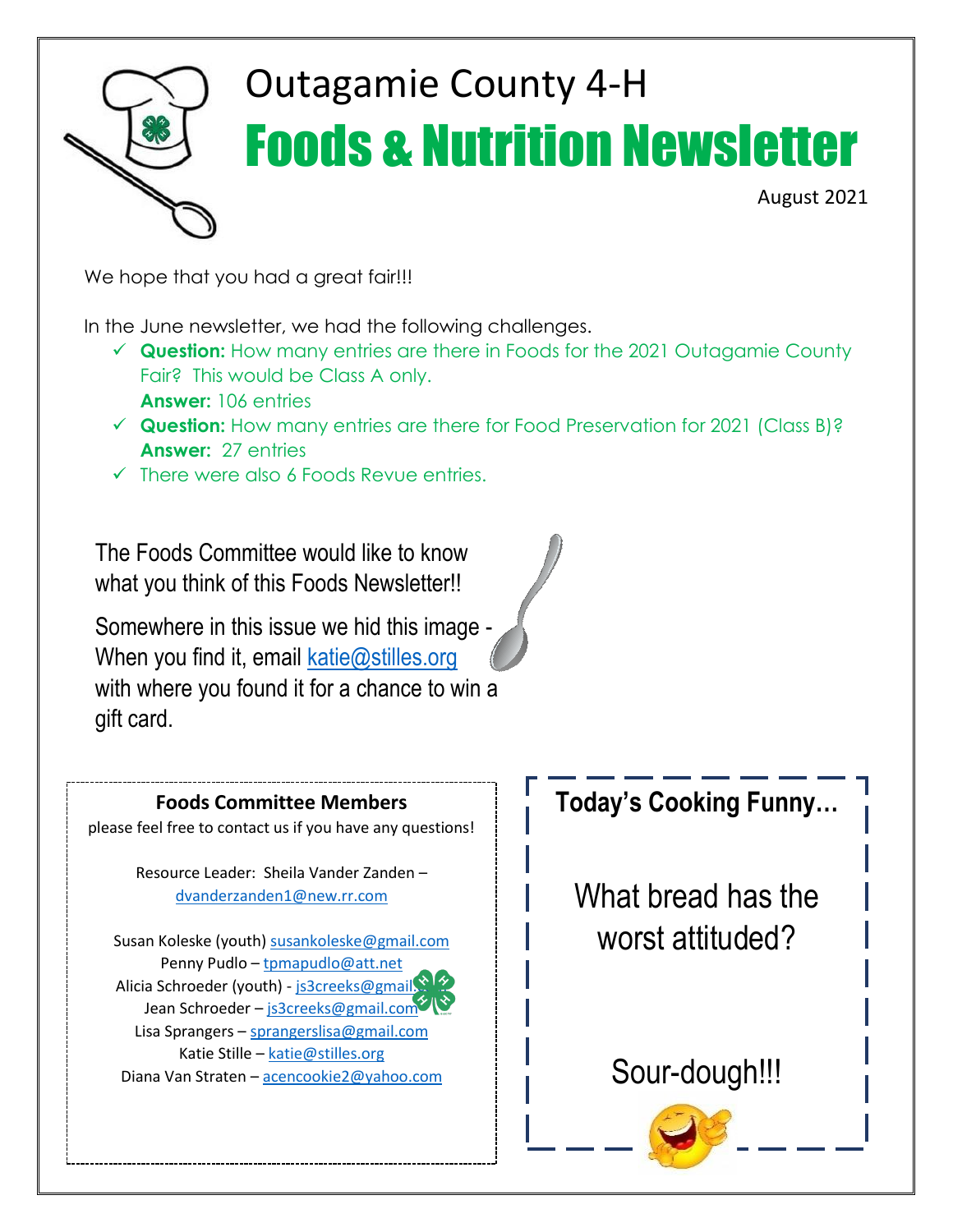

# Outagamie County 4-H Foods & Nutrition Newsletter

August 2021

We hope that you had a great fair!!!

In the June newsletter, we had the following challenges.

- ✓ **Question:** How many entries are there in Foods for the 2021 Outagamie County Fair? This would be Class A only. **Answer:** 106 entries
- ✓ **Question:** How many entries are there for Food Preservation for 2021 (Class B)? **Answer:** 27 entries
- $\checkmark$  There were also 6 Foods Revue entries.

The Foods Committee would like to know what you think of this Foods Newsletter!!

Somewhere in this issue we hid this image When you find it, email [katie@stilles.org](mailto:katie@stilles.org) with where you found it for a chance to win a gift card.



#### **Today's Cooking Funny…**

What bread has the worst attituded?

#### Sour-dough!!!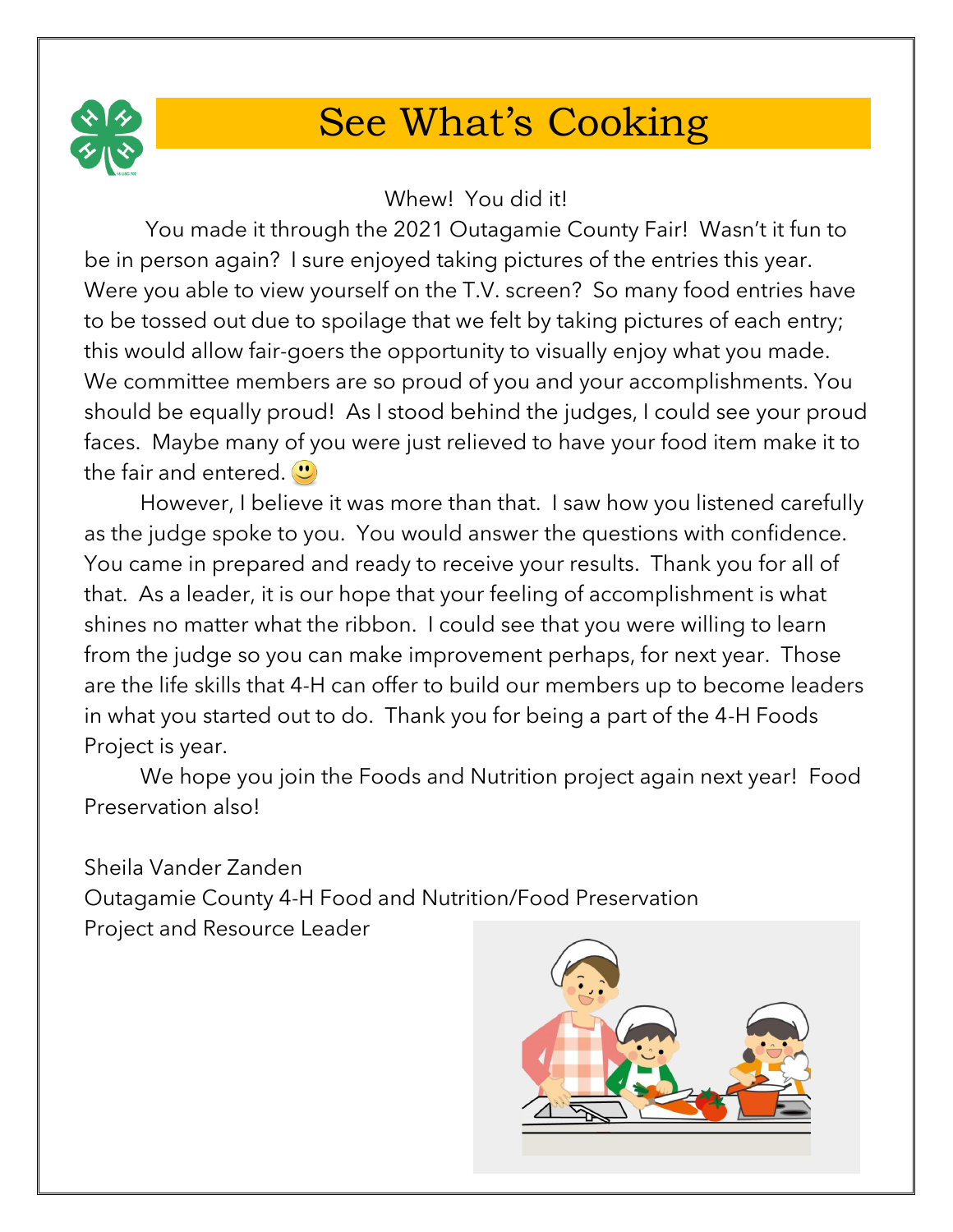

## See What's Cooking

Whew! You did it!

You made it through the 2021 Outagamie County Fair! Wasn't it fun to be in person again? I sure enjoyed taking pictures of the entries this year. Were you able to view yourself on the T.V. screen? So many food entries have to be tossed out due to spoilage that we felt by taking pictures of each entry; this would allow fair-goers the opportunity to visually enjoy what you made. We committee members are so proud of you and your accomplishments. You should be equally proud! As I stood behind the judges, I could see your proud faces. Maybe many of you were just relieved to have your food item make it to the fair and entered.  $\bullet$ 

However, I believe it was more than that. I saw how you listened carefully as the judge spoke to you. You would answer the questions with confidence. You came in prepared and ready to receive your results. Thank you for all of that. As a leader, it is our hope that your feeling of accomplishment is what shines no matter what the ribbon. I could see that you were willing to learn from the judge so you can make improvement perhaps, for next year. Those are the life skills that 4-H can offer to build our members up to become leaders in what you started out to do. Thank you for being a part of the 4-H Foods Project is year.

We hope you join the Foods and Nutrition project again next year! Food Preservation also!

Sheila Vander Zanden Outagamie County 4-H Food and Nutrition/Food Preservation Project and Resource Leader

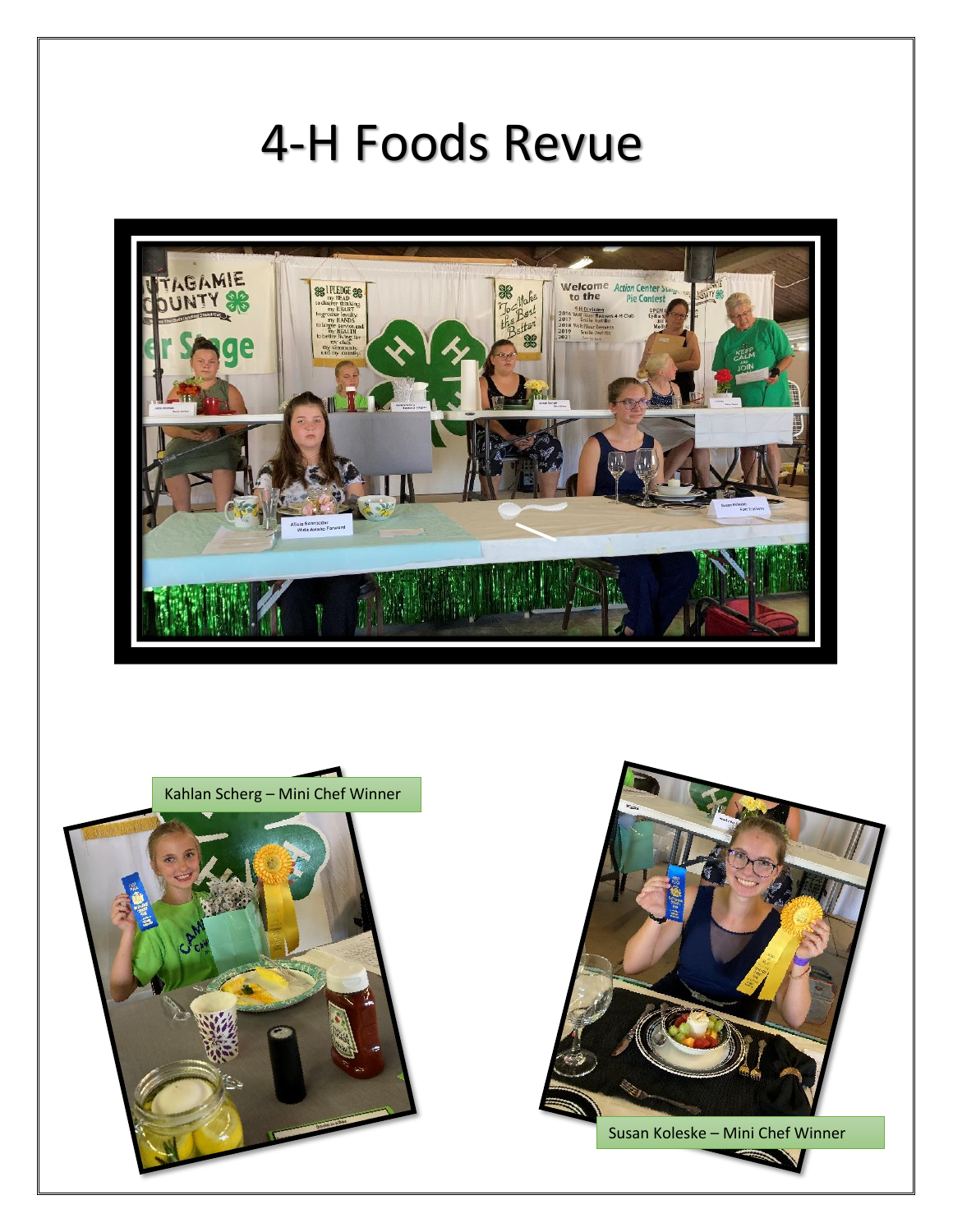## 4-H Foods Revue